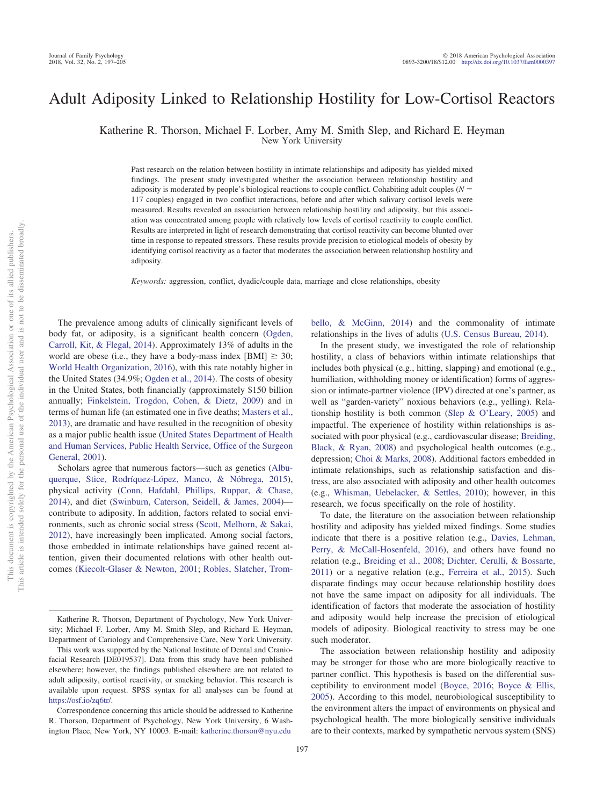# Adult Adiposity Linked to Relationship Hostility for Low-Cortisol Reactors

Katherine R. Thorson, Michael F. Lorber, Amy M. Smith Slep, and Richard E. Heyman

New York University

Past research on the relation between hostility in intimate relationships and adiposity has yielded mixed findings. The present study investigated whether the association between relationship hostility and adiposity is moderated by people's biological reactions to couple conflict. Cohabiting adult couples (*N* - 117 couples) engaged in two conflict interactions, before and after which salivary cortisol levels were measured. Results revealed an association between relationship hostility and adiposity, but this association was concentrated among people with relatively low levels of cortisol reactivity to couple conflict. Results are interpreted in light of research demonstrating that cortisol reactivity can become blunted over time in response to repeated stressors. These results provide precision to etiological models of obesity by identifying cortisol reactivity as a factor that moderates the association between relationship hostility and adiposity.

*Keywords:* aggression, conflict, dyadic/couple data, marriage and close relationships, obesity

The prevalence among adults of clinically significant levels of body fat, or adiposity, is a significant health concern [\(Ogden,](#page-8-0) [Carroll, Kit, & Flegal, 2014\)](#page-8-0). Approximately 13% of adults in the world are obese (i.e., they have a body-mass index  $[BMI] \geq 30$ ; [World Health Organization, 2016\)](#page-8-1), with this rate notably higher in the United States (34.9%; [Ogden et al., 2014\)](#page-8-0). The costs of obesity in the United States, both financially (approximately \$150 billion annually; [Finkelstein, Trogdon, Cohen, & Dietz, 2009\)](#page-7-0) and in terms of human life (an estimated one in five deaths; [Masters et al.,](#page-8-2) [2013\)](#page-8-2), are dramatic and have resulted in the recognition of obesity as a major public health issue [\(United States Department of Health](#page-8-3) [and Human Services, Public Health Service, Office of the Surgeon](#page-8-3) [General, 2001\)](#page-8-3).

Scholars agree that numerous factors—such as genetics [\(Albu](#page-6-0)[querque, Stice, Rodríquez-López, Manco, & Nóbrega, 2015\)](#page-6-0), physical activity [\(Conn, Hafdahl, Phillips, Ruppar, & Chase,](#page-7-1) [2014\)](#page-7-1), and diet [\(Swinburn, Caterson, Seidell, & James, 2004\)](#page-8-4) contribute to adiposity. In addition, factors related to social environments, such as chronic social stress [\(Scott, Melhorn, & Sakai,](#page-8-5) [2012\)](#page-8-5), have increasingly been implicated. Among social factors, those embedded in intimate relationships have gained recent attention, given their documented relations with other health outcomes [\(Kiecolt-Glaser & Newton, 2001;](#page-7-2) [Robles, Slatcher, Trom-](#page-8-6) [bello, & McGinn, 2014\)](#page-8-6) and the commonality of intimate relationships in the lives of adults [\(U.S. Census Bureau, 2014\)](#page-8-7).

In the present study, we investigated the role of relationship hostility, a class of behaviors within intimate relationships that includes both physical (e.g., hitting, slapping) and emotional (e.g., humiliation, withholding money or identification) forms of aggression or intimate-partner violence (IPV) directed at one's partner, as well as "garden-variety" noxious behaviors (e.g., yelling). Relationship hostility is both common [\(Slep & O'Leary, 2005\)](#page-8-8) and impactful. The experience of hostility within relationships is associated with poor physical (e.g., cardiovascular disease; [Breiding,](#page-7-3) [Black, & Ryan, 2008\)](#page-7-3) and psychological health outcomes (e.g., depression; [Choi & Marks, 2008\)](#page-7-4). Additional factors embedded in intimate relationships, such as relationship satisfaction and distress, are also associated with adiposity and other health outcomes (e.g., [Whisman, Uebelacker, & Settles, 2010\)](#page-8-9); however, in this research, we focus specifically on the role of hostility.

To date, the literature on the association between relationship hostility and adiposity has yielded mixed findings. Some studies indicate that there is a positive relation (e.g., [Davies, Lehman,](#page-7-5) [Perry, & McCall-Hosenfeld, 2016\)](#page-7-5), and others have found no relation (e.g., [Breiding et al., 2008;](#page-7-3) [Dichter, Cerulli, & Bossarte,](#page-7-6) [2011\)](#page-7-6) or a negative relation (e.g., [Ferreira et al., 2015\)](#page-7-7). Such disparate findings may occur because relationship hostility does not have the same impact on adiposity for all individuals. The identification of factors that moderate the association of hostility and adiposity would help increase the precision of etiological models of adiposity. Biological reactivity to stress may be one such moderator.

The association between relationship hostility and adiposity may be stronger for those who are more biologically reactive to partner conflict. This hypothesis is based on the differential susceptibility to environment model [\(Boyce, 2016;](#page-6-1) [Boyce & Ellis,](#page-6-2) [2005\)](#page-6-2). According to this model, neurobiological susceptibility to the environment alters the impact of environments on physical and psychological health. The more biologically sensitive individuals are to their contexts, marked by sympathetic nervous system (SNS)

Katherine R. Thorson, Department of Psychology, New York University; Michael F. Lorber, Amy M. Smith Slep, and Richard E. Heyman, Department of Cariology and Comprehensive Care, New York University.

This work was supported by the National Institute of Dental and Craniofacial Research [DE019537]. Data from this study have been published elsewhere; however, the findings published elsewhere are not related to adult adiposity, cortisol reactivity, or snacking behavior. This research is available upon request. SPSS syntax for all analyses can be found at [https://osf.io/zq6tr/.](https://osf.io/zq6tr/)

Correspondence concerning this article should be addressed to Katherine R. Thorson, Department of Psychology, New York University, 6 Washington Place, New York, NY 10003. E-mail: [katherine.thorson@nyu.edu](mailto:katherine.thorson@nyu.edu)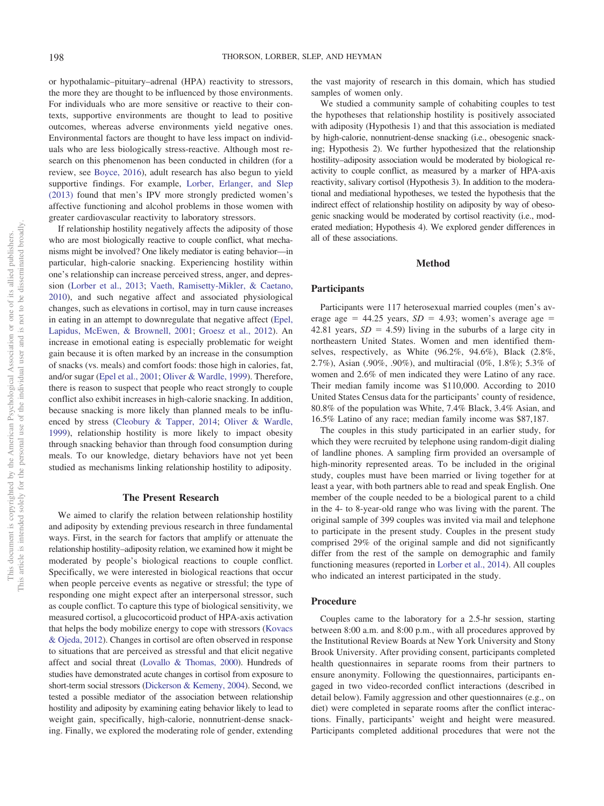or hypothalamic–pituitary–adrenal (HPA) reactivity to stressors, the more they are thought to be influenced by those environments. For individuals who are more sensitive or reactive to their contexts, supportive environments are thought to lead to positive outcomes, whereas adverse environments yield negative ones. Environmental factors are thought to have less impact on individuals who are less biologically stress-reactive. Although most research on this phenomenon has been conducted in children (for a review, see [Boyce, 2016\)](#page-6-1), adult research has also begun to yield supportive findings. For example, [Lorber, Erlanger, and Slep](#page-7-8) [\(2013\)](#page-7-8) found that men's IPV more strongly predicted women's affective functioning and alcohol problems in those women with greater cardiovascular reactivity to laboratory stressors.

If relationship hostility negatively affects the adiposity of those who are most biologically reactive to couple conflict, what mechanisms might be involved? One likely mediator is eating behavior—in particular, high-calorie snacking. Experiencing hostility within one's relationship can increase perceived stress, anger, and depression [\(Lorber et al., 2013;](#page-7-8) [Vaeth, Ramisetty-Mikler, & Caetano,](#page-8-10) [2010\)](#page-8-10), and such negative affect and associated physiological changes, such as elevations in cortisol, may in turn cause increases in eating in an attempt to downregulate that negative affect [\(Epel,](#page-7-9) [Lapidus, McEwen, & Brownell, 2001;](#page-7-9) [Groesz et al., 2012\)](#page-7-10). An increase in emotional eating is especially problematic for weight gain because it is often marked by an increase in the consumption of snacks (vs. meals) and comfort foods: those high in calories, fat, and/or sugar [\(Epel et al., 2001;](#page-7-9) [Oliver & Wardle, 1999\)](#page-8-11). Therefore, there is reason to suspect that people who react strongly to couple conflict also exhibit increases in high-calorie snacking. In addition, because snacking is more likely than planned meals to be influenced by stress [\(Cleobury & Tapper, 2014;](#page-7-11) [Oliver & Wardle,](#page-8-11) [1999\)](#page-8-11), relationship hostility is more likely to impact obesity through snacking behavior than through food consumption during meals. To our knowledge, dietary behaviors have not yet been studied as mechanisms linking relationship hostility to adiposity.

#### **The Present Research**

We aimed to clarify the relation between relationship hostility and adiposity by extending previous research in three fundamental ways. First, in the search for factors that amplify or attenuate the relationship hostility–adiposity relation, we examined how it might be moderated by people's biological reactions to couple conflict. Specifically, we were interested in biological reactions that occur when people perceive events as negative or stressful; the type of responding one might expect after an interpersonal stressor, such as couple conflict. To capture this type of biological sensitivity, we measured cortisol, a glucocorticoid product of HPA-axis activation that helps the body mobilize energy to cope with stressors [\(Kovacs](#page-7-12) [& Ojeda, 2012\)](#page-7-12). Changes in cortisol are often observed in response to situations that are perceived as stressful and that elicit negative affect and social threat [\(Lovallo & Thomas, 2000\)](#page-8-12). Hundreds of studies have demonstrated acute changes in cortisol from exposure to short-term social stressors [\(Dickerson & Kemeny, 2004\)](#page-7-13). Second, we tested a possible mediator of the association between relationship hostility and adiposity by examining eating behavior likely to lead to weight gain, specifically, high-calorie, nonnutrient-dense snacking. Finally, we explored the moderating role of gender, extending

the vast majority of research in this domain, which has studied samples of women only.

We studied a community sample of cohabiting couples to test the hypotheses that relationship hostility is positively associated with adiposity (Hypothesis 1) and that this association is mediated by high-calorie, nonnutrient-dense snacking (i.e., obesogenic snacking; Hypothesis 2). We further hypothesized that the relationship hostility–adiposity association would be moderated by biological reactivity to couple conflict, as measured by a marker of HPA-axis reactivity, salivary cortisol (Hypothesis 3). In addition to the moderational and mediational hypotheses, we tested the hypothesis that the indirect effect of relationship hostility on adiposity by way of obesogenic snacking would be moderated by cortisol reactivity (i.e., moderated mediation; Hypothesis 4). We explored gender differences in all of these associations.

## **Method**

#### **Participants**

Participants were 117 heterosexual married couples (men's average age  $= 44.25$  years,  $SD = 4.93$ ; women's average age  $=$ 42.81 years,  $SD = 4.59$ ) living in the suburbs of a large city in northeastern United States. Women and men identified themselves, respectively, as White (96.2%, 94.6%), Black (2.8%, 2.7%), Asian (.90%, .90%), and multiracial (0%, 1.8%); 5.3% of women and 2.6% of men indicated they were Latino of any race. Their median family income was \$110,000. According to 2010 United States Census data for the participants' county of residence, 80.8% of the population was White, 7.4% Black, 3.4% Asian, and 16.5% Latino of any race; median family income was \$87,187.

The couples in this study participated in an earlier study, for which they were recruited by telephone using random-digit dialing of landline phones. A sampling firm provided an oversample of high-minority represented areas. To be included in the original study, couples must have been married or living together for at least a year, with both partners able to read and speak English. One member of the couple needed to be a biological parent to a child in the 4- to 8-year-old range who was living with the parent. The original sample of 399 couples was invited via mail and telephone to participate in the present study. Couples in the present study comprised 29% of the original sample and did not significantly differ from the rest of the sample on demographic and family functioning measures (reported in [Lorber et al., 2014\)](#page-7-14). All couples who indicated an interest participated in the study.

#### **Procedure**

Couples came to the laboratory for a 2.5-hr session, starting between 8:00 a.m. and 8:00 p.m., with all procedures approved by the Institutional Review Boards at New York University and Stony Brook University. After providing consent, participants completed health questionnaires in separate rooms from their partners to ensure anonymity. Following the questionnaires, participants engaged in two video-recorded conflict interactions (described in detail below). Family aggression and other questionnaires (e.g., on diet) were completed in separate rooms after the conflict interactions. Finally, participants' weight and height were measured. Participants completed additional procedures that were not the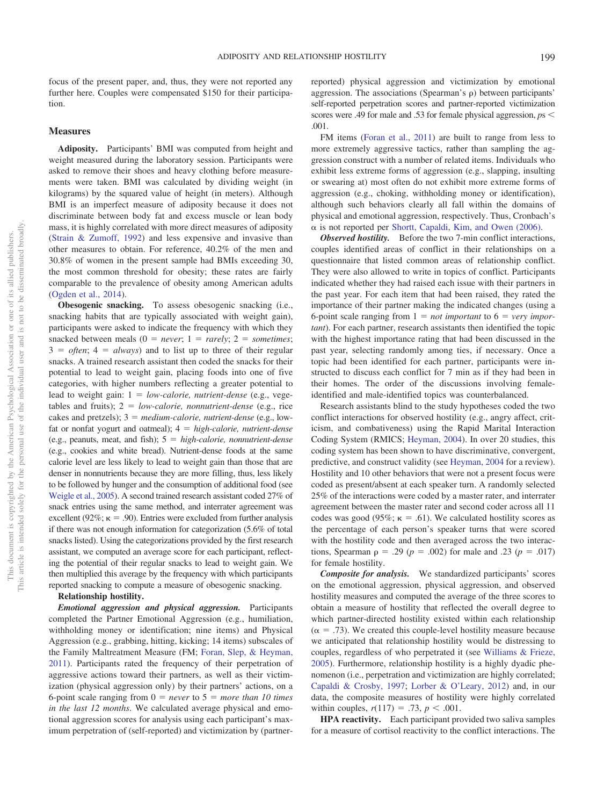focus of the present paper, and, thus, they were not reported any further here. Couples were compensated \$150 for their participation.

#### **Measures**

**Adiposity.** Participants' BMI was computed from height and weight measured during the laboratory session. Participants were asked to remove their shoes and heavy clothing before measurements were taken. BMI was calculated by dividing weight (in kilograms) by the squared value of height (in meters). Although BMI is an imperfect measure of adiposity because it does not discriminate between body fat and excess muscle or lean body mass, it is highly correlated with more direct measures of adiposity [\(Strain & Zumoff, 1992\)](#page-8-13) and less expensive and invasive than other measures to obtain. For reference, 40.2% of the men and 30.8% of women in the present sample had BMIs exceeding 30, the most common threshold for obesity; these rates are fairly comparable to the prevalence of obesity among American adults [\(Ogden et al., 2014\)](#page-8-0).

**Obesogenic snacking.** To assess obesogenic snacking (i.e., snacking habits that are typically associated with weight gain), participants were asked to indicate the frequency with which they snacked between meals  $(0 = never; 1 = rarely; 2 = sometimes;$  $3 = often; 4 = always$  and to list up to three of their regular snacks. A trained research assistant then coded the snacks for their potential to lead to weight gain, placing foods into one of five categories, with higher numbers reflecting a greater potential to lead to weight gain:  $1 = low-calorie$ , nutrient-dense (e.g., vegetables and fruits);  $2 = low-calorie$ , *nonnutrient-dense* (e.g., rice cakes and pretzels);  $3 = medium\text{-}calorie$ , *nutrient-dense* (e.g., lowfat or nonfat yogurt and oatmeal);  $4 = high-calorie$ , nutrient-dense (e.g., peanuts, meat, and fish); 5 - *high-calorie, nonnutrient-dense* (e.g., cookies and white bread). Nutrient-dense foods at the same calorie level are less likely to lead to weight gain than those that are denser in nonnutrients because they are more filling, thus, less likely to be followed by hunger and the consumption of additional food (see [Weigle et al., 2005\)](#page-8-14). A second trained research assistant coded 27% of snack entries using the same method, and interrater agreement was excellent (92%;  $\kappa = .90$ ). Entries were excluded from further analysis if there was not enough information for categorization (5.6% of total snacks listed). Using the categorizations provided by the first research assistant, we computed an average score for each participant, reflecting the potential of their regular snacks to lead to weight gain. We then multiplied this average by the frequency with which participants reported snacking to compute a measure of obesogenic snacking.

#### **Relationship hostility.**

*Emotional aggression and physical aggression.* Participants completed the Partner Emotional Aggression (e.g., humiliation, withholding money or identification; nine items) and Physical Aggression (e.g., grabbing, hitting, kicking; 14 items) subscales of the Family Maltreatment Measure (FM; [Foran, Slep, & Heyman,](#page-7-15) [2011\)](#page-7-15). Participants rated the frequency of their perpetration of aggressive actions toward their partners, as well as their victimization (physical aggression only) by their partners' actions, on a 6-point scale ranging from  $0 = never$  to  $5 = more$  *than 10 times in the last 12 months*. We calculated average physical and emotional aggression scores for analysis using each participant's maximum perpetration of (self-reported) and victimization by (partnerreported) physical aggression and victimization by emotional aggression. The associations (Spearman's  $\rho$ ) between participants' self-reported perpetration scores and partner-reported victimization scores were .49 for male and .53 for female physical aggression, *p*s .001.

FM items [\(Foran et al., 2011\)](#page-7-15) are built to range from less to more extremely aggressive tactics, rather than sampling the aggression construct with a number of related items. Individuals who exhibit less extreme forms of aggression (e.g., slapping, insulting or swearing at) most often do not exhibit more extreme forms of aggression (e.g., choking, withholding money or identification), although such behaviors clearly all fall within the domains of physical and emotional aggression, respectively. Thus, Cronbach's  $\alpha$  is not reported per [Shortt, Capaldi, Kim, and Owen \(2006\).](#page-8-15)

*Observed hostility.* Before the two 7-min conflict interactions, couples identified areas of conflict in their relationships on a questionnaire that listed common areas of relationship conflict. They were also allowed to write in topics of conflict. Participants indicated whether they had raised each issue with their partners in the past year. For each item that had been raised, they rated the importance of their partner making the indicated changes (using a 6-point scale ranging from  $1 = not important$  to  $6 = very import$ *tant*). For each partner, research assistants then identified the topic with the highest importance rating that had been discussed in the past year, selecting randomly among ties, if necessary. Once a topic had been identified for each partner, participants were instructed to discuss each conflict for 7 min as if they had been in their homes. The order of the discussions involving femaleidentified and male-identified topics was counterbalanced.

Research assistants blind to the study hypotheses coded the two conflict interactions for observed hostility (e.g., angry affect, criticism, and combativeness) using the Rapid Marital Interaction Coding System (RMICS; [Heyman, 2004\)](#page-7-16). In over 20 studies, this coding system has been shown to have discriminative, convergent, predictive, and construct validity (see [Heyman, 2004](#page-7-16) for a review). Hostility and 10 other behaviors that were not a present focus were coded as present/absent at each speaker turn. A randomly selected 25% of the interactions were coded by a master rater, and interrater agreement between the master rater and second coder across all 11 codes was good (95%;  $\kappa = .61$ ). We calculated hostility scores as the percentage of each person's speaker turns that were scored with the hostility code and then averaged across the two interactions, Spearman  $\rho = .29$  ( $p = .002$ ) for male and .23 ( $p = .017$ ) for female hostility.

*Composite for analysis.* We standardized participants' scores on the emotional aggression, physical aggression, and observed hostility measures and computed the average of the three scores to obtain a measure of hostility that reflected the overall degree to which partner-directed hostility existed within each relationship  $(\alpha = .73)$ . We created this couple-level hostility measure because we anticipated that relationship hostility would be distressing to couples, regardless of who perpetrated it (see [Williams & Frieze,](#page-8-16) [2005\)](#page-8-16). Furthermore, relationship hostility is a highly dyadic phenomenon (i.e., perpetration and victimization are highly correlated; [Capaldi & Crosby, 1997;](#page-7-17) [Lorber & O'Leary, 2012\)](#page-7-18) and, in our data, the composite measures of hostility were highly correlated within couples,  $r(117) = .73$ ,  $p < .001$ .

**HPA reactivity.** Each participant provided two saliva samples for a measure of cortisol reactivity to the conflict interactions. The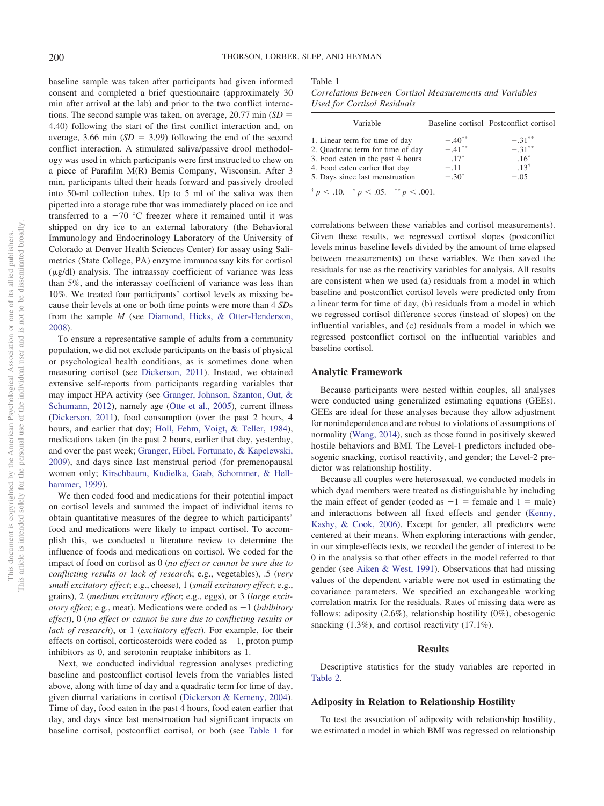baseline sample was taken after participants had given informed consent and completed a brief questionnaire (approximately 30 min after arrival at the lab) and prior to the two conflict interactions. The second sample was taken, on average, 20.77 min (*SD* = 4.40) following the start of the first conflict interaction and, on average, 3.66 min  $(SD = 3.99)$  following the end of the second conflict interaction. A stimulated saliva/passive drool methodology was used in which participants were first instructed to chew on a piece of Parafilm M(R) Bemis Company, Wisconsin. After 3 min, participants tilted their heads forward and passively drooled into 50-ml collection tubes. Up to 5 ml of the saliva was then pipetted into a storage tube that was immediately placed on ice and transferred to a  $-70$  °C freezer where it remained until it was shipped on dry ice to an external laboratory (the Behavioral Immunology and Endocrinology Laboratory of the University of Colorado at Denver Health Sciences Center) for assay using Salimetrics (State College, PA) enzyme immunoassay kits for cortisol  $(\mu g/dl)$  analysis. The intraassay coefficient of variance was less than 5%, and the interassay coefficient of variance was less than 10%. We treated four participants' cortisol levels as missing because their levels at one or both time points were more than 4 *SD*s from the sample *M* (see [Diamond, Hicks, & Otter-Henderson,](#page-7-19) [2008\)](#page-7-19).

To ensure a representative sample of adults from a community population, we did not exclude participants on the basis of physical or psychological health conditions, as is sometimes done when measuring cortisol (see [Dickerson, 2011\)](#page-7-20). Instead, we obtained extensive self-reports from participants regarding variables that may impact HPA activity (see [Granger, Johnson, Szanton, Out, &](#page-7-21) [Schumann, 2012\)](#page-7-21), namely age [\(Otte et al., 2005\)](#page-8-17), current illness [\(Dickerson, 2011\)](#page-7-20), food consumption (over the past 2 hours, 4 hours, and earlier that day; [Holl, Fehm, Voigt, & Teller, 1984\)](#page-7-22), medications taken (in the past 2 hours, earlier that day, yesterday, and over the past week; [Granger, Hibel, Fortunato, & Kapelewski,](#page-7-23) [2009\)](#page-7-23), and days since last menstrual period (for premenopausal women only; [Kirschbaum, Kudielka, Gaab, Schommer, & Hell](#page-7-24)[hammer, 1999\)](#page-7-24).

We then coded food and medications for their potential impact on cortisol levels and summed the impact of individual items to obtain quantitative measures of the degree to which participants' food and medications were likely to impact cortisol. To accomplish this, we conducted a literature review to determine the influence of foods and medications on cortisol. We coded for the impact of food on cortisol as 0 (*no effect or cannot be sure due to conflicting results or lack of research*; e.g., vegetables), .5 (*very small excitatory effect*; e.g., cheese), 1 (*small excitatory effect*; e.g., grains), 2 (*medium excitatory effect*; e.g., eggs), or 3 (*large excitatory effect*; e.g., meat). Medications were coded as  $-1$  (*inhibitory effect*), 0 (*no effect or cannot be sure due to conflicting results or lack of research*), or 1 (*excitatory effect*). For example, for their effects on cortisol, corticosteroids were coded as  $-1$ , proton pump inhibitors as 0, and serotonin reuptake inhibitors as 1.

Next, we conducted individual regression analyses predicting baseline and postconflict cortisol levels from the variables listed above, along with time of day and a quadratic term for time of day, given diurnal variations in cortisol [\(Dickerson & Kemeny, 2004\)](#page-7-13). Time of day, food eaten in the past 4 hours, food eaten earlier that day, and days since last menstruation had significant impacts on baseline cortisol, postconflict cortisol, or both (see [Table 1](#page-3-0) for

<span id="page-3-0"></span>Table 1 *Correlations Between Cortisol Measurements and Variables*

*Used for Cortisol Residuals*

| Variable                          |           | Baseline cortisol Postconflict cortisol |
|-----------------------------------|-----------|-----------------------------------------|
| 1. Linear term for time of day    | $-.40**$  | $-.31***$                               |
| 2. Quadratic term for time of day | $-.41***$ | $-31***$                                |
| 3. Food eaten in the past 4 hours | $.17*$    | $.16*$                                  |
| 4. Food eaten earlier that day    | $-.11$    | $.13^{\dagger}$                         |
| 5. Days since last menstruation   | $-.30*$   | $-.05$                                  |
|                                   |           |                                         |

 $\frac{p}{p}$  < .10.  $\frac{p}{p}$  < .05.  $\frac{p}{p}$  < .001.

correlations between these variables and cortisol measurements). Given these results, we regressed cortisol slopes (postconflict levels minus baseline levels divided by the amount of time elapsed between measurements) on these variables. We then saved the residuals for use as the reactivity variables for analysis. All results are consistent when we used (a) residuals from a model in which baseline and postconflict cortisol levels were predicted only from a linear term for time of day, (b) residuals from a model in which we regressed cortisol difference scores (instead of slopes) on the influential variables, and (c) residuals from a model in which we regressed postconflict cortisol on the influential variables and baseline cortisol.

#### **Analytic Framework**

Because participants were nested within couples, all analyses were conducted using generalized estimating equations (GEEs). GEEs are ideal for these analyses because they allow adjustment for nonindependence and are robust to violations of assumptions of normality [\(Wang, 2014\)](#page-8-18), such as those found in positively skewed hostile behaviors and BMI. The Level-1 predictors included obesogenic snacking, cortisol reactivity, and gender; the Level-2 predictor was relationship hostility.

Because all couples were heterosexual, we conducted models in which dyad members were treated as distinguishable by including the main effect of gender (coded as  $-1$  = female and  $1$  = male) and interactions between all fixed effects and gender [\(Kenny,](#page-7-25) [Kashy, & Cook, 2006\)](#page-7-25). Except for gender, all predictors were centered at their means. When exploring interactions with gender, in our simple-effects tests, we recoded the gender of interest to be 0 in the analysis so that other effects in the model referred to that gender (see [Aiken & West, 1991\)](#page-6-3). Observations that had missing values of the dependent variable were not used in estimating the covariance parameters. We specified an exchangeable working correlation matrix for the residuals. Rates of missing data were as follows: adiposity (2.6%), relationship hostility (0%), obesogenic snacking  $(1.3\%)$ , and cortisol reactivity  $(17.1\%)$ .

#### **Results**

Descriptive statistics for the study variables are reported in [Table 2.](#page-4-0)

## **Adiposity in Relation to Relationship Hostility**

To test the association of adiposity with relationship hostility, we estimated a model in which BMI was regressed on relationship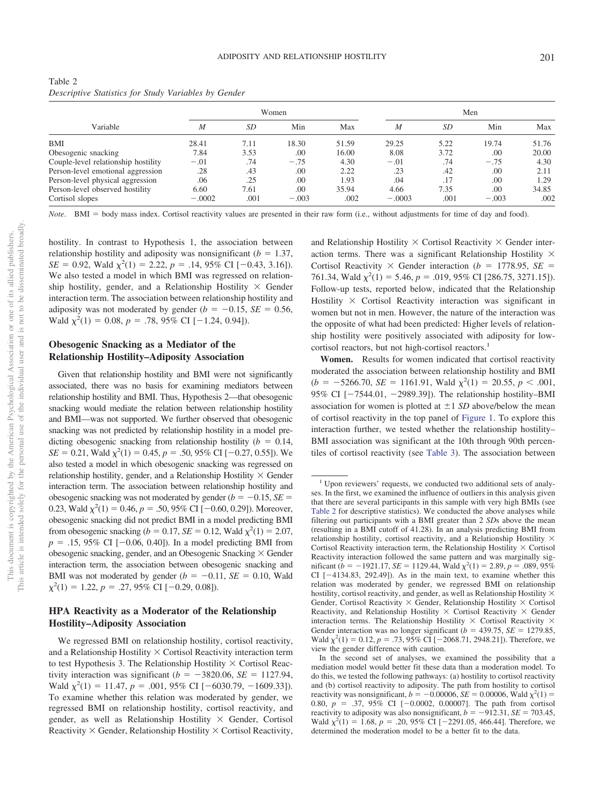|                                     | Women    |      |         |       | Men      |      |         |       |
|-------------------------------------|----------|------|---------|-------|----------|------|---------|-------|
| Variable                            | M        | SD   | Min     | Max   | M        | SD   | Min     | Max   |
| BMI                                 | 28.41    | 7.11 | 18.30   | 51.59 | 29.25    | 5.22 | 19.74   | 51.76 |
| Obesogenic snacking                 | 7.84     | 3.53 | .00     | 16.00 | 8.08     | 3.72 | .00     | 20.00 |
| Couple-level relationship hostility | $-.01$   | .74  | $-.75$  | 4.30  | $-.01$   | .74  | $-.75$  | 4.30  |
| Person-level emotional aggression   | .28      | .43  | .00     | 2.22  | .23      | .42  | .00     | 2.11  |
| Person-level physical aggression    | .06      | .25  | .00.    | 1.93  | .04      | .17  | .00     | 1.29  |
| Person-level observed hostility     | 6.60     | 7.61 | .00     | 35.94 | 4.66     | 7.35 | .00     | 34.85 |
| Cortisol slopes                     | $-.0002$ | .001 | $-.003$ | .002  | $-.0003$ | .001 | $-.003$ | .002  |

<span id="page-4-0"></span>Table 2 *Descriptive Statistics for Study Variables by Gender*

Note. BMI = body mass index. Cortisol reactivity values are presented in their raw form (i.e., without adjustments for time of day and food).

hostility. In contrast to Hypothesis 1, the association between relationship hostility and adiposity was nonsignificant  $(b = 1.37,$  $SE = 0.92$ , Wald  $\chi^2(1) = 2.22$ ,  $p = .14$ , 95% CI [-0.43, 3.16]). We also tested a model in which BMI was regressed on relationship hostility, gender, and a Relationship Hostility  $\times$  Gender interaction term. The association between relationship hostility and adiposity was not moderated by gender  $(b = -0.15, SE = 0.56,$ Wald  $\chi^2(1) = 0.08$ ,  $p = .78$ , 95% CI [-1.24, 0.94]).

# **Obesogenic Snacking as a Mediator of the Relationship Hostility–Adiposity Association**

Given that relationship hostility and BMI were not significantly associated, there was no basis for examining mediators between relationship hostility and BMI. Thus, Hypothesis 2—that obesogenic snacking would mediate the relation between relationship hostility and BMI—was not supported. We further observed that obesogenic snacking was not predicted by relationship hostility in a model predicting obesogenic snacking from relationship hostility  $(b = 0.14,$  $SE = 0.21$ , Wald  $\chi^2(1) = 0.45$ ,  $p = .50$ , 95% CI [-0.27, 0.55]). We also tested a model in which obesogenic snacking was regressed on relationship hostility, gender, and a Relationship Hostility  $\times$  Gender interaction term. The association between relationship hostility and obesogenic snacking was not moderated by gender  $(b = -0.15, SE =$ 0.23, Wald  $\chi^2(1) = 0.46$ ,  $p = .50$ , 95% CI [-0.60, 0.29]). Moreover, obesogenic snacking did not predict BMI in a model predicting BMI from obesogenic snacking ( $b = 0.17$ ,  $SE = 0.12$ , Wald  $\chi^2(1) = 2.07$ ,  $p = .15, 95\% \text{ CI } [-0.06, 0.40]$ . In a model predicting BMI from obesogenic snacking, gender, and an Obesogenic Snacking  $\times$  Gender interaction term, the association between obesogenic snacking and BMI was not moderated by gender  $(b = -0.11, SE = 0.10, Wald)$  $\chi^2(1) = 1.22, p = .27, 95\% \text{ CI} [-0.29, 0.08]).$ 

# **HPA Reactivity as a Moderator of the Relationship Hostility–Adiposity Association**

We regressed BMI on relationship hostility, cortisol reactivity, and a Relationship Hostility Cortisol Reactivity interaction term to test Hypothesis 3. The Relationship Hostility  $\times$  Cortisol Reactivity interaction was significant  $(b = -3820.06, SE = 1127.94,$ Wald  $\chi^2(1) = 11.47$ ,  $p = .001$ , 95% CI [-6030.79, -1609.33]). To examine whether this relation was moderated by gender, we regressed BMI on relationship hostility, cortisol reactivity, and gender, as well as Relationship Hostility Gender, Cortisol Reactivity  $\times$  Gender, Relationship Hostility  $\times$  Cortisol Reactivity,

and Relationship Hostility  $\times$  Cortisol Reactivity  $\times$  Gender interaction terms. There was a significant Relationship Hostility  $\times$ Cortisol Reactivity  $\times$  Gender interaction ( $b = 1778.95$ , *SE* = 761.34, Wald  $\chi^2(1) = 5.46$ ,  $p = .019$ , 95% CI [286.75, 3271.15]). Follow-up tests, reported below, indicated that the Relationship Hostility  $\times$  Cortisol Reactivity interaction was significant in women but not in men. However, the nature of the interaction was the opposite of what had been predicted: Higher levels of relationship hostility were positively associated with adiposity for lowcortisol reactors, but not high-cortisol reactors.<sup>1</sup>

**Women.** Results for women indicated that cortisol reactivity moderated the association between relationship hostility and BMI  $(b = -5266.70, \, SE = 1161.91, \, Wald \, \chi^2(1) = 20.55, \, p < .001,$ 95% CI  $[-7544.01, -2989.39]$ . The relationship hostility–BMI association for women is plotted at  $\pm 1$  *SD* above/below the mean of cortisol reactivity in the top panel of [Figure 1.](#page-5-0) To explore this interaction further, we tested whether the relationship hostility– BMI association was significant at the 10th through 90th percentiles of cortisol reactivity (see [Table 3\)](#page-5-1). The association between

<sup>&</sup>lt;sup>1</sup> Upon reviewers' requests, we conducted two additional sets of analyses. In the first, we examined the influence of outliers in this analysis given that there are several participants in this sample with very high BMIs (see [Table 2](#page-4-0) for descriptive statistics). We conducted the above analyses while filtering out participants with a BMI greater than 2 *SD*s above the mean (resulting in a BMI cutoff of 41.28). In an analysis predicting BMI from relationship hostility, cortisol reactivity, and a Relationship Hostility  $\times$ Cortisol Reactivity interaction term, the Relationship Hostility  $\times$  Cortisol Reactivity interaction followed the same pattern and was marginally significant  $(b = -1921.17, SE = 1129.44, Wald \chi^2(1) = 2.89, p = .089, 95\%$ CI  $[-4134.83, 292.49]$ . As in the main text, to examine whether this relation was moderated by gender, we regressed BMI on relationship hostility, cortisol reactivity, and gender, as well as Relationship Hostility  $\times$ Gender, Cortisol Reactivity  $\times$  Gender, Relationship Hostility  $\times$  Cortisol Reactivity, and Relationship Hostility  $\times$  Cortisol Reactivity  $\times$  Gender interaction terms. The Relationship Hostility  $\times$  Cortisol Reactivity  $\times$ Gender interaction was no longer significant ( $b = 439.75$ ,  $SE = 1279.85$ , Wald  $\chi^2(1) = 0.12$ ,  $p = .73$ ,  $95\%$  CI [-2068.71, 2948.21]). Therefore, we view the gender difference with caution.

In the second set of analyses, we examined the possibility that a mediation model would better fit these data than a moderation model. To do this, we tested the following pathways: (a) hostility to cortisol reactivity and (b) cortisol reactivity to adiposity. The path from hostility to cortisol reactivity was nonsignificant,  $b = -0.00006$ ,  $SE = 0.00006$ , Wald  $\chi^2(1) =$ 0.80,  $p = .37, 95\%$  CI  $[-0.0002, 0.00007]$ . The path from cortisol reactivity to adiposity was also nonsignificant,  $b = -912.31$ ,  $SE = 703.45$ , Wald  $\chi^2(1) = 1.68$ ,  $p = .20, 95\%$  CI [-2291.05, 466.44]. Therefore, we determined the moderation model to be a better fit to the data.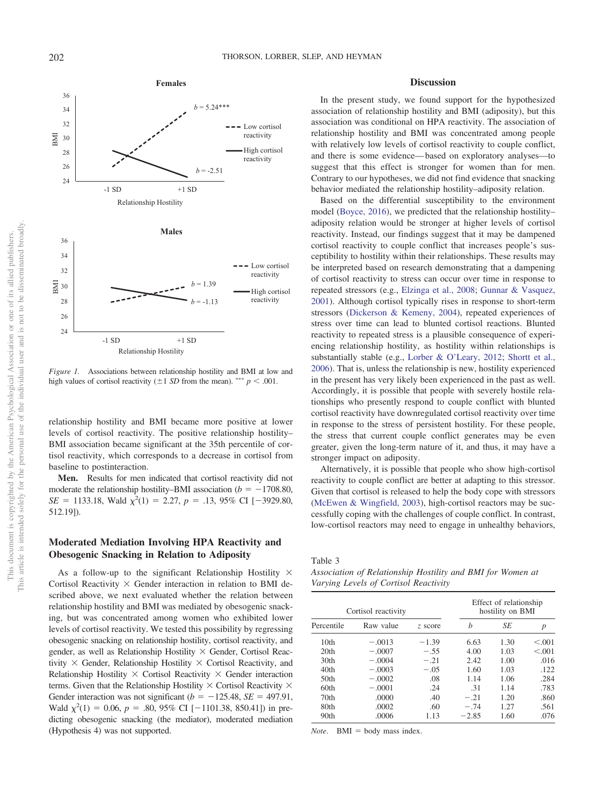

<span id="page-5-0"></span>*Figure 1.* Associations between relationship hostility and BMI at low and high values of cortisol reactivity  $(\pm 1 \text{ SD from the mean})$ . \*\*\*  $p < .001$ .

relationship hostility and BMI became more positive at lower levels of cortisol reactivity. The positive relationship hostility– BMI association became significant at the 35th percentile of cortisol reactivity, which corresponds to a decrease in cortisol from baseline to postinteraction.

**Men.** Results for men indicated that cortisol reactivity did not moderate the relationship hostility–BMI association ( $b = -1708.80$ ,  $SE = 1133.18$ , Wald  $\chi^2(1) = 2.27$ , *p* = .13, 95% CI [-3929.80, 512.19]).

# **Moderated Mediation Involving HPA Reactivity and Obesogenic Snacking in Relation to Adiposity**

As a follow-up to the significant Relationship Hostility  $\times$ Cortisol Reactivity  $\times$  Gender interaction in relation to BMI described above, we next evaluated whether the relation between relationship hostility and BMI was mediated by obesogenic snacking, but was concentrated among women who exhibited lower levels of cortisol reactivity. We tested this possibility by regressing obesogenic snacking on relationship hostility, cortisol reactivity, and gender, as well as Relationship Hostility × Gender, Cortisol Reactivity  $\times$  Gender, Relationship Hostility  $\times$  Cortisol Reactivity, and Relationship Hostility  $\times$  Cortisol Reactivity  $\times$  Gender interaction terms. Given that the Relationship Hostility  $\times$  Cortisol Reactivity  $\times$ Gender interaction was not significant ( $b = -125.48$ ,  $SE = 497.91$ , Wald  $\chi^2(1) = 0.06$ ,  $p = .80$ , 95% CI [-1101.38, 850.41]) in predicting obesogenic snacking (the mediator), moderated mediation (Hypothesis 4) was not supported.

## **Discussion**

In the present study, we found support for the hypothesized association of relationship hostility and BMI (adiposity), but this association was conditional on HPA reactivity. The association of relationship hostility and BMI was concentrated among people with relatively low levels of cortisol reactivity to couple conflict, and there is some evidence— based on exploratory analyses—to suggest that this effect is stronger for women than for men. Contrary to our hypotheses, we did not find evidence that snacking behavior mediated the relationship hostility–adiposity relation.

Based on the differential susceptibility to the environment model [\(Boyce, 2016\)](#page-6-1), we predicted that the relationship hostility– adiposity relation would be stronger at higher levels of cortisol reactivity. Instead, our findings suggest that it may be dampened cortisol reactivity to couple conflict that increases people's susceptibility to hostility within their relationships. These results may be interpreted based on research demonstrating that a dampening of cortisol reactivity to stress can occur over time in response to repeated stressors (e.g., [Elzinga et al., 2008;](#page-7-26) [Gunnar & Vasquez,](#page-7-27) [2001\)](#page-7-27). Although cortisol typically rises in response to short-term stressors [\(Dickerson & Kemeny, 2004\)](#page-7-13), repeated experiences of stress over time can lead to blunted cortisol reactions. Blunted reactivity to repeated stress is a plausible consequence of experiencing relationship hostility, as hostility within relationships is substantially stable (e.g., [Lorber & O'Leary, 2012;](#page-7-18) [Shortt et al.,](#page-8-15) [2006\)](#page-8-15). That is, unless the relationship is new, hostility experienced in the present has very likely been experienced in the past as well. Accordingly, it is possible that people with severely hostile relationships who presently respond to couple conflict with blunted cortisol reactivity have downregulated cortisol reactivity over time in response to the stress of persistent hostility. For these people, the stress that current couple conflict generates may be even greater, given the long-term nature of it, and thus, it may have a stronger impact on adiposity.

Alternatively, it is possible that people who show high-cortisol reactivity to couple conflict are better at adapting to this stressor. Given that cortisol is released to help the body cope with stressors [\(McEwen & Wingfield, 2003\)](#page-8-19), high-cortisol reactors may be successfully coping with the challenges of couple conflict. In contrast, low-cortisol reactors may need to engage in unhealthy behaviors,

<span id="page-5-1"></span>Table 3

*Association of Relationship Hostility and BMI for Women at Varying Levels of Cortisol Reactivity*

| Cortisol reactivity |           |         | Effect of relationship<br>hostility on BMI |      |         |
|---------------------|-----------|---------|--------------------------------------------|------|---------|
| Percentile          | Raw value | z score | h                                          | SE   | р       |
| 10th                | $-.0013$  | $-1.39$ | 6.63                                       | 1.30 | < 0.001 |
| 20 <sub>th</sub>    | $-.0007$  | $-.55$  | 4.00                                       | 1.03 | < 0.001 |
| 30 <sub>th</sub>    | $-.0004$  | $-.21$  | 2.42                                       | 1.00 | .016    |
| 40 <sub>th</sub>    | $-.0003$  | $-.05$  | 1.60                                       | 1.03 | .122    |
| 50 <sub>th</sub>    | $-.0002$  | .08     | 1.14                                       | 1.06 | .284    |
| 60th                | $-.0001$  | .24     | .31                                        | 1.14 | .783    |
| 70 <sub>th</sub>    | .0000     | .40     | $-.21$                                     | 1.20 | .860    |
| 80th                | .0002     | .60     | $-.74$                                     | 1.27 | .561    |
| 90th                | .0006     | 1.13    | $-2.85$                                    | 1.60 | .076    |

 $Note.$  **BMI** = body mass index.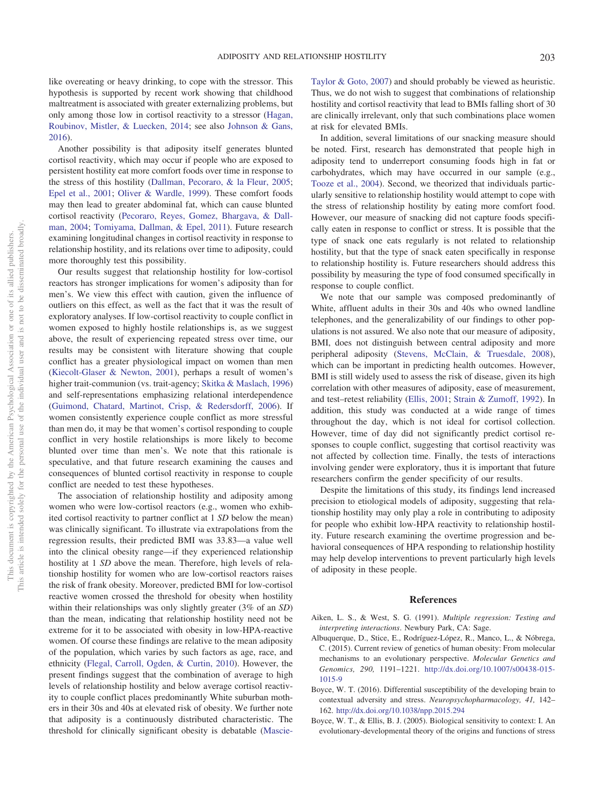like overeating or heavy drinking, to cope with the stressor. This hypothesis is supported by recent work showing that childhood maltreatment is associated with greater externalizing problems, but only among those low in cortisol reactivity to a stressor [\(Hagan,](#page-7-28) [Roubinov, Mistler, & Luecken, 2014;](#page-7-28) see also [Johnson & Gans,](#page-7-29) [2016\)](#page-7-29).

Another possibility is that adiposity itself generates blunted cortisol reactivity, which may occur if people who are exposed to persistent hostility eat more comfort foods over time in response to the stress of this hostility [\(Dallman, Pecoraro, & la Fleur, 2005;](#page-7-30) [Epel et al., 2001;](#page-7-9) [Oliver & Wardle, 1999\)](#page-8-11). These comfort foods may then lead to greater abdominal fat, which can cause blunted cortisol reactivity [\(Pecoraro, Reyes, Gomez, Bhargava, & Dall](#page-8-20)[man, 2004;](#page-8-20) [Tomiyama, Dallman, & Epel, 2011\)](#page-8-21). Future research examining longitudinal changes in cortisol reactivity in response to relationship hostility, and its relations over time to adiposity, could more thoroughly test this possibility.

Our results suggest that relationship hostility for low-cortisol reactors has stronger implications for women's adiposity than for men's. We view this effect with caution, given the influence of outliers on this effect, as well as the fact that it was the result of exploratory analyses. If low-cortisol reactivity to couple conflict in women exposed to highly hostile relationships is, as we suggest above, the result of experiencing repeated stress over time, our results may be consistent with literature showing that couple conflict has a greater physiological impact on women than men [\(Kiecolt-Glaser & Newton, 2001\)](#page-7-2), perhaps a result of women's higher trait-communion (vs. trait-agency; [Skitka & Maslach, 1996\)](#page-8-22) and self-representations emphasizing relational interdependence [\(Guimond, Chatard, Martinot, Crisp, & Redersdorff, 2006\)](#page-7-31). If women consistently experience couple conflict as more stressful than men do, it may be that women's cortisol responding to couple conflict in very hostile relationships is more likely to become blunted over time than men's. We note that this rationale is speculative, and that future research examining the causes and consequences of blunted cortisol reactivity in response to couple conflict are needed to test these hypotheses.

The association of relationship hostility and adiposity among women who were low-cortisol reactors (e.g., women who exhibited cortisol reactivity to partner conflict at 1 *SD* below the mean) was clinically significant. To illustrate via extrapolations from the regression results, their predicted BMI was 33.83—a value well into the clinical obesity range—if they experienced relationship hostility at 1 *SD* above the mean. Therefore, high levels of relationship hostility for women who are low-cortisol reactors raises the risk of frank obesity. Moreover, predicted BMI for low-cortisol reactive women crossed the threshold for obesity when hostility within their relationships was only slightly greater (3% of an *SD*) than the mean, indicating that relationship hostility need not be extreme for it to be associated with obesity in low-HPA-reactive women. Of course these findings are relative to the mean adiposity of the population, which varies by such factors as age, race, and ethnicity [\(Flegal, Carroll, Ogden, & Curtin, 2010\)](#page-7-32). However, the present findings suggest that the combination of average to high levels of relationship hostility and below average cortisol reactivity to couple conflict places predominantly White suburban mothers in their 30s and 40s at elevated risk of obesity. We further note that adiposity is a continuously distributed characteristic. The threshold for clinically significant obesity is debatable [\(Mascie-](#page-8-23) [Taylor & Goto, 2007\)](#page-8-23) and should probably be viewed as heuristic. Thus, we do not wish to suggest that combinations of relationship hostility and cortisol reactivity that lead to BMIs falling short of 30 are clinically irrelevant, only that such combinations place women at risk for elevated BMIs.

In addition, several limitations of our snacking measure should be noted. First, research has demonstrated that people high in adiposity tend to underreport consuming foods high in fat or carbohydrates, which may have occurred in our sample (e.g., [Tooze et al., 2004\)](#page-8-24). Second, we theorized that individuals particularly sensitive to relationship hostility would attempt to cope with the stress of relationship hostility by eating more comfort food. However, our measure of snacking did not capture foods specifically eaten in response to conflict or stress. It is possible that the type of snack one eats regularly is not related to relationship hostility, but that the type of snack eaten specifically in response to relationship hostility is. Future researchers should address this possibility by measuring the type of food consumed specifically in response to couple conflict.

We note that our sample was composed predominantly of White, affluent adults in their 30s and 40s who owned landline telephones, and the generalizability of our findings to other populations is not assured. We also note that our measure of adiposity, BMI, does not distinguish between central adiposity and more peripheral adiposity [\(Stevens, McClain, & Truesdale, 2008\)](#page-8-25), which can be important in predicting health outcomes. However, BMI is still widely used to assess the risk of disease, given its high correlation with other measures of adiposity, ease of measurement, and test–retest reliability [\(Ellis, 2001;](#page-7-33) [Strain & Zumoff, 1992\)](#page-8-13). In addition, this study was conducted at a wide range of times throughout the day, which is not ideal for cortisol collection. However, time of day did not significantly predict cortisol responses to couple conflict, suggesting that cortisol reactivity was not affected by collection time. Finally, the tests of interactions involving gender were exploratory, thus it is important that future researchers confirm the gender specificity of our results.

Despite the limitations of this study, its findings lend increased precision to etiological models of adiposity, suggesting that relationship hostility may only play a role in contributing to adiposity for people who exhibit low-HPA reactivity to relationship hostility. Future research examining the overtime progression and behavioral consequences of HPA responding to relationship hostility may help develop interventions to prevent particularly high levels of adiposity in these people.

## **References**

- <span id="page-6-3"></span>Aiken, L. S., & West, S. G. (1991). *Multiple regression: Testing and interpreting interactions*. Newbury Park, CA: Sage.
- <span id="page-6-0"></span>Albuquerque, D., Stice, E., Rodríguez-López, R., Manco, L., & Nóbrega, C. (2015). Current review of genetics of human obesity: From molecular mechanisms to an evolutionary perspective. *Molecular Genetics and Genomics, 290,* 1191–1221. [http://dx.doi.org/10.1007/s00438-015-](http://dx.doi.org/10.1007/s00438-015-1015-9) [1015-9](http://dx.doi.org/10.1007/s00438-015-1015-9)
- <span id="page-6-1"></span>Boyce, W. T. (2016). Differential susceptibility of the developing brain to contextual adversity and stress. *Neuropsychopharmacology, 41,* 142– 162. <http://dx.doi.org/10.1038/npp.2015.294>
- <span id="page-6-2"></span>Boyce, W. T., & Ellis, B. J. (2005). Biological sensitivity to context: I. An evolutionary-developmental theory of the origins and functions of stress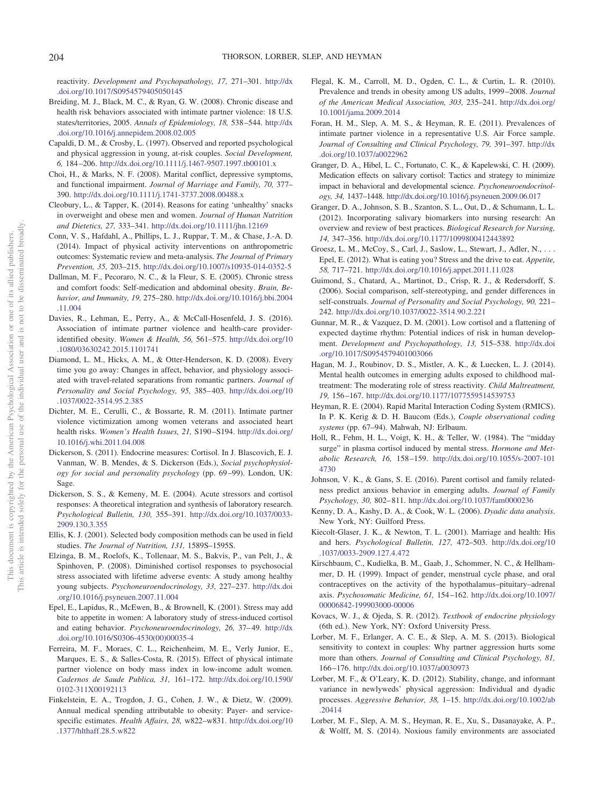reactivity. *Development and Psychopathology, 17,* 271–301. [http://dx](http://dx.doi.org/10.1017/S0954579405050145) [.doi.org/10.1017/S0954579405050145](http://dx.doi.org/10.1017/S0954579405050145)

- <span id="page-7-3"></span>Breiding, M. J., Black, M. C., & Ryan, G. W. (2008). Chronic disease and health risk behaviors associated with intimate partner violence: 18 U.S. states/territories, 2005. *Annals of Epidemiology, 18,* 538 –544. [http://dx](http://dx.doi.org/10.1016/j.annepidem.2008.02.005) [.doi.org/10.1016/j.annepidem.2008.02.005](http://dx.doi.org/10.1016/j.annepidem.2008.02.005)
- <span id="page-7-17"></span>Capaldi, D. M., & Crosby, L. (1997). Observed and reported psychological and physical aggression in young, at-risk couples. *Social Development, 6,* 184 –206. <http://dx.doi.org/10.1111/j.1467-9507.1997.tb00101.x>
- <span id="page-7-4"></span>Choi, H., & Marks, N. F. (2008). Marital conflict, depressive symptoms, and functional impairment. *Journal of Marriage and Family, 70,* 377– 390. <http://dx.doi.org/10.1111/j.1741-3737.2008.00488.x>
- <span id="page-7-11"></span>Cleobury, L., & Tapper, K. (2014). Reasons for eating 'unhealthy' snacks in overweight and obese men and women. *Journal of Human Nutrition and Dietetics, 27,* 333–341. <http://dx.doi.org/10.1111/jhn.12169>
- <span id="page-7-1"></span>Conn, V. S., Hafdahl, A., Phillips, L. J., Ruppar, T. M., & Chase, J.-A. D. (2014). Impact of physical activity interventions on anthropometric outcomes: Systematic review and meta-analysis. *The Journal of Primary Prevention, 35,* 203–215. <http://dx.doi.org/10.1007/s10935-014-0352-5>
- <span id="page-7-30"></span>Dallman, M. F., Pecoraro, N. C., & la Fleur, S. E. (2005). Chronic stress and comfort foods: Self-medication and abdominal obesity. *Brain, Behavior, and Immunity, 19,* 275–280. [http://dx.doi.org/10.1016/j.bbi.2004](http://dx.doi.org/10.1016/j.bbi.2004.11.004) [.11.004](http://dx.doi.org/10.1016/j.bbi.2004.11.004)
- <span id="page-7-5"></span>Davies, R., Lehman, E., Perry, A., & McCall-Hosenfeld, J. S. (2016). Association of intimate partner violence and health-care provideridentified obesity. *Women & Health, 56,* 561–575. [http://dx.doi.org/10](http://dx.doi.org/10.1080/03630242.2015.1101741) [.1080/03630242.2015.1101741](http://dx.doi.org/10.1080/03630242.2015.1101741)
- <span id="page-7-19"></span>Diamond, L. M., Hicks, A. M., & Otter-Henderson, K. D. (2008). Every time you go away: Changes in affect, behavior, and physiology associated with travel-related separations from romantic partners. *Journal of Personality and Social Psychology, 95,* 385– 403. [http://dx.doi.org/10](http://dx.doi.org/10.1037/0022-3514.95.2.385) [.1037/0022-3514.95.2.385](http://dx.doi.org/10.1037/0022-3514.95.2.385)
- <span id="page-7-6"></span>Dichter, M. E., Cerulli, C., & Bossarte, R. M. (2011). Intimate partner violence victimization among women veterans and associated heart health risks. Women's Health Issues, 21, S190-S194. [http://dx.doi.org/](http://dx.doi.org/10.1016/j.whi.2011.04.008) [10.1016/j.whi.2011.04.008](http://dx.doi.org/10.1016/j.whi.2011.04.008)
- <span id="page-7-20"></span>Dickerson, S. (2011). Endocrine measures: Cortisol. In J. Blascovich, E. J. Vanman, W. B. Mendes, & S. Dickerson (Eds.), *Social psychophysiology for social and personality psychology* (pp. 69 –99). London, UK: Sage.
- <span id="page-7-13"></span>Dickerson, S. S., & Kemeny, M. E. (2004). Acute stressors and cortisol responses: A theoretical integration and synthesis of laboratory research. *Psychological Bulletin, 130,* 355–391. [http://dx.doi.org/10.1037/0033-](http://dx.doi.org/10.1037/0033-2909.130.3.355) [2909.130.3.355](http://dx.doi.org/10.1037/0033-2909.130.3.355)
- <span id="page-7-33"></span>Ellis, K. J. (2001). Selected body composition methods can be used in field studies. *The Journal of Nutrition, 131,* 1589S–1595S.
- <span id="page-7-26"></span>Elzinga, B. M., Roelofs, K., Tollenaar, M. S., Bakvis, P., van Pelt, J., & Spinhoven, P. (2008). Diminished cortisol responses to psychosocial stress associated with lifetime adverse events: A study among healthy young subjects. *Psychoneuroendocrinology, 33,* 227–237. [http://dx.doi](http://dx.doi.org/10.1016/j.psyneuen.2007.11.004) [.org/10.1016/j.psyneuen.2007.11.004](http://dx.doi.org/10.1016/j.psyneuen.2007.11.004)
- <span id="page-7-9"></span>Epel, E., Lapidus, R., McEwen, B., & Brownell, K. (2001). Stress may add bite to appetite in women: A laboratory study of stress-induced cortisol and eating behavior. *Psychoneuroendocrinology, 26,* 37– 49. [http://dx](http://dx.doi.org/10.1016/S0306-4530%2800%2900035-4) [.doi.org/10.1016/S0306-4530\(00\)00035-4](http://dx.doi.org/10.1016/S0306-4530%2800%2900035-4)
- <span id="page-7-7"></span>Ferreira, M. F., Moraes, C. L., Reichenheim, M. E., Verly Junior, E., Marques, E. S., & Salles-Costa, R. (2015). Effect of physical intimate partner violence on body mass index in low-income adult women. *Cadernos de Saude Publica, 31,* 161–172. [http://dx.doi.org/10.1590/](http://dx.doi.org/10.1590/0102-311X00192113) [0102-311X00192113](http://dx.doi.org/10.1590/0102-311X00192113)
- <span id="page-7-0"></span>Finkelstein, E. A., Trogdon, J. G., Cohen, J. W., & Dietz, W. (2009). Annual medical spending attributable to obesity: Payer- and servicespecific estimates. *Health Affairs, 28,* w822–w831. [http://dx.doi.org/10](http://dx.doi.org/10.1377/hlthaff.28.5.w822) [.1377/hlthaff.28.5.w822](http://dx.doi.org/10.1377/hlthaff.28.5.w822)
- <span id="page-7-32"></span>Flegal, K. M., Carroll, M. D., Ogden, C. L., & Curtin, L. R. (2010). Prevalence and trends in obesity among US adults, 1999 –2008. *Journal of the American Medical Association, 303,* 235–241. [http://dx.doi.org/](http://dx.doi.org/10.1001/jama.2009.2014) [10.1001/jama.2009.2014](http://dx.doi.org/10.1001/jama.2009.2014)
- <span id="page-7-15"></span>Foran, H. M., Slep, A. M. S., & Heyman, R. E. (2011). Prevalences of intimate partner violence in a representative U.S. Air Force sample. *Journal of Consulting and Clinical Psychology, 79,* 391–397. [http://dx](http://dx.doi.org/10.1037/a0022962) [.doi.org/10.1037/a0022962](http://dx.doi.org/10.1037/a0022962)
- <span id="page-7-23"></span>Granger, D. A., Hibel, L. C., Fortunato, C. K., & Kapelewski, C. H. (2009). Medication effects on salivary cortisol: Tactics and strategy to minimize impact in behavioral and developmental science. *Psychoneuroendocrinology, 34,* 1437–1448. <http://dx.doi.org/10.1016/j.psyneuen.2009.06.017>
- <span id="page-7-21"></span>Granger, D. A., Johnson, S. B., Szanton, S. L., Out, D., & Schumann, L. L. (2012). Incorporating salivary biomarkers into nursing research: An overview and review of best practices. *Biological Research for Nursing, 14,* 347–356. <http://dx.doi.org/10.1177/1099800412443892>
- <span id="page-7-10"></span>Groesz, L. M., McCoy, S., Carl, J., Saslow, L., Stewart, J., Adler, N.,... Epel, E. (2012). What is eating you? Stress and the drive to eat. *Appetite, 58,* 717–721. <http://dx.doi.org/10.1016/j.appet.2011.11.028>
- <span id="page-7-31"></span>Guimond, S., Chatard, A., Martinot, D., Crisp, R. J., & Redersdorff, S. (2006). Social comparison, self-stereotyping, and gender differences in self-construals. *Journal of Personality and Social Psychology, 90,* 221– 242. <http://dx.doi.org/10.1037/0022-3514.90.2.221>
- <span id="page-7-27"></span>Gunnar, M. R., & Vazquez, D. M. (2001). Low cortisol and a flattening of expected daytime rhythm: Potential indices of risk in human development. *Development and Psychopathology, 13,* 515–538. [http://dx.doi](http://dx.doi.org/10.1017/S0954579401003066) [.org/10.1017/S0954579401003066](http://dx.doi.org/10.1017/S0954579401003066)
- <span id="page-7-28"></span>Hagan, M. J., Roubinov, D. S., Mistler, A. K., & Luecken, L. J. (2014). Mental health outcomes in emerging adults exposed to childhood maltreatment: The moderating role of stress reactivity. *Child Maltreatment, 19,* 156 –167. <http://dx.doi.org/10.1177/1077559514539753>
- <span id="page-7-16"></span>Heyman, R. E. (2004). Rapid Marital Interaction Coding System (RMICS). In P. K. Kerig & D. H. Baucom (Eds.), *Couple observational coding systems* (pp. 67–94). Mahwah, NJ: Erlbaum.
- <span id="page-7-22"></span>Holl, R., Fehm, H. L., Voigt, K. H., & Teller, W. (1984). The "midday surge" in plasma cortisol induced by mental stress. *Hormone and Metabolic Research, 16,* 158 –159. [http://dx.doi.org/10.1055/s-2007-101](http://dx.doi.org/10.1055/s-2007-1014730) [4730](http://dx.doi.org/10.1055/s-2007-1014730)
- <span id="page-7-29"></span>Johnson, V. K., & Gans, S. E. (2016). Parent cortisol and family relatedness predict anxious behavior in emerging adults. *Journal of Family Psychology, 30,* 802– 811. <http://dx.doi.org/10.1037/fam0000236>
- <span id="page-7-25"></span>Kenny, D. A., Kashy, D. A., & Cook, W. L. (2006). *Dyadic data analysis*. New York, NY: Guilford Press.
- <span id="page-7-2"></span>Kiecolt-Glaser, J. K., & Newton, T. L. (2001). Marriage and health: His and hers. *Psychological Bulletin, 127,* 472–503. [http://dx.doi.org/10](http://dx.doi.org/10.1037/0033-2909.127.4.472) [.1037/0033-2909.127.4.472](http://dx.doi.org/10.1037/0033-2909.127.4.472)
- <span id="page-7-24"></span>Kirschbaum, C., Kudielka, B. M., Gaab, J., Schommer, N. C., & Hellhammer, D. H. (1999). Impact of gender, menstrual cycle phase, and oral contraceptives on the activity of the hypothalamus–pituitary–adrenal axis. *Psychosomatic Medicine, 61,* 154 –162. [http://dx.doi.org/10.1097/](http://dx.doi.org/10.1097/00006842-199903000-00006) [00006842-199903000-00006](http://dx.doi.org/10.1097/00006842-199903000-00006)
- <span id="page-7-12"></span>Kovacs, W. J., & Ojeda, S. R. (2012). *Textbook of endocrine physiology* (6th ed.). New York, NY: Oxford University Press.
- <span id="page-7-8"></span>Lorber, M. F., Erlanger, A. C. E., & Slep, A. M. S. (2013). Biological sensitivity to context in couples: Why partner aggression hurts some more than others. *Journal of Consulting and Clinical Psychology, 81,* 166 –176. <http://dx.doi.org/10.1037/a0030973>
- <span id="page-7-18"></span>Lorber, M. F., & O'Leary, K. D. (2012). Stability, change, and informant variance in newlyweds' physical aggression: Individual and dyadic processes. *Aggressive Behavior, 38,* 1–15. [http://dx.doi.org/10.1002/ab](http://dx.doi.org/10.1002/ab.20414) [.20414](http://dx.doi.org/10.1002/ab.20414)
- <span id="page-7-14"></span>Lorber, M. F., Slep, A. M. S., Heyman, R. E., Xu, S., Dasanayake, A. P., & Wolff, M. S. (2014). Noxious family environments are associated